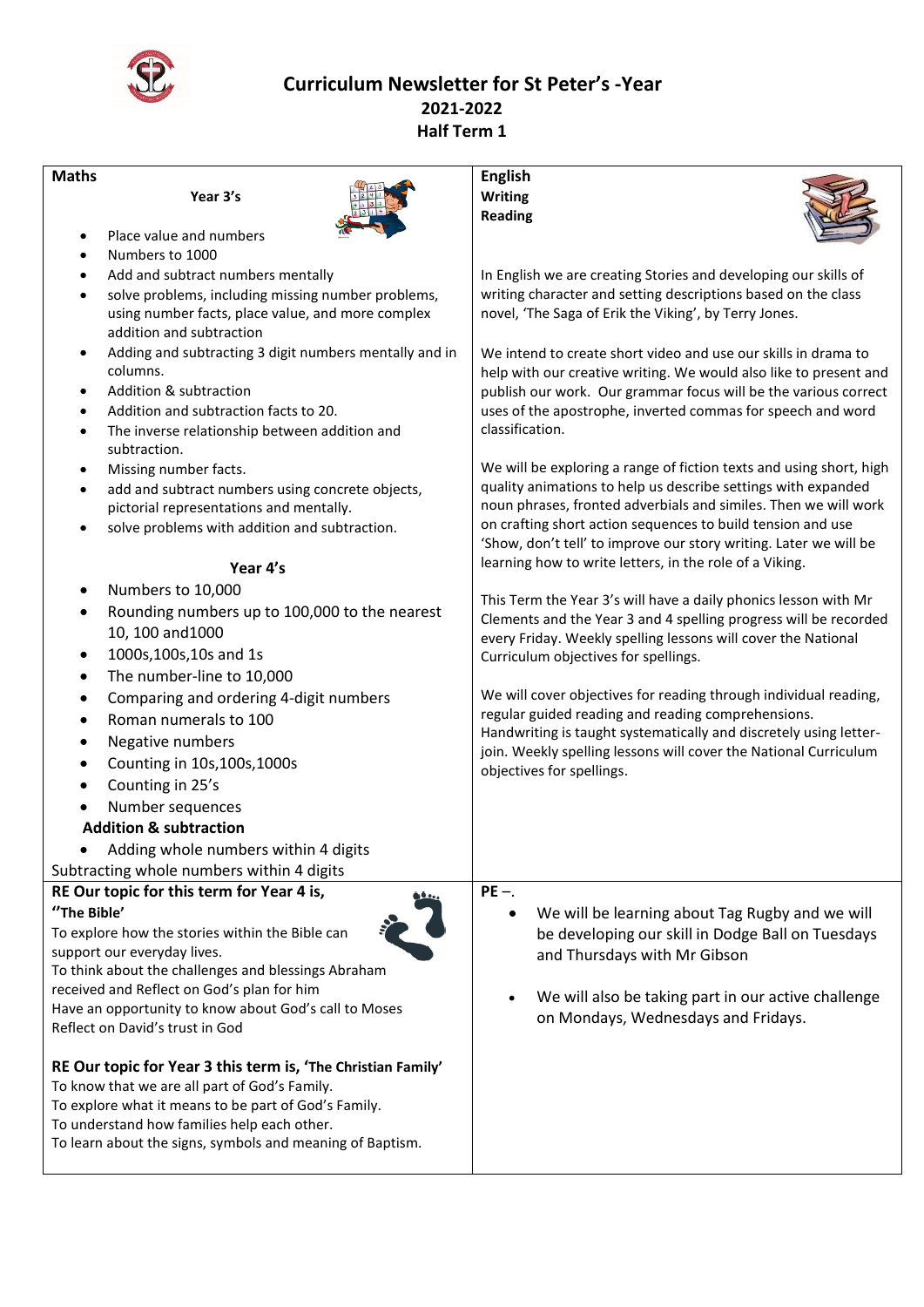

 **Curriculum Newsletter for St Peter's -Year 2021-2022 Half Term 1**

| <b>Maths</b>                                          |                                                                               | <b>English</b>                                                                                                                    |
|-------------------------------------------------------|-------------------------------------------------------------------------------|-----------------------------------------------------------------------------------------------------------------------------------|
|                                                       | Year 3's                                                                      | <b>Writing</b><br><b>Reading</b>                                                                                                  |
| $\bullet$                                             | Place value and numbers                                                       |                                                                                                                                   |
|                                                       | Numbers to 1000                                                               |                                                                                                                                   |
| ٠                                                     | Add and subtract numbers mentally                                             | In English we are creating Stories and developing our skills of                                                                   |
| $\bullet$                                             | solve problems, including missing number problems,                            | writing character and setting descriptions based on the class                                                                     |
|                                                       | using number facts, place value, and more complex<br>addition and subtraction | novel, 'The Saga of Erik the Viking', by Terry Jones.                                                                             |
| $\bullet$                                             | Adding and subtracting 3 digit numbers mentally and in                        | We intend to create short video and use our skills in drama to                                                                    |
|                                                       | columns.                                                                      | help with our creative writing. We would also like to present and                                                                 |
| $\bullet$                                             | Addition & subtraction                                                        | publish our work. Our grammar focus will be the various correct                                                                   |
| $\bullet$                                             | Addition and subtraction facts to 20.                                         | uses of the apostrophe, inverted commas for speech and word                                                                       |
| ٠                                                     | The inverse relationship between addition and<br>subtraction.                 | classification.                                                                                                                   |
| ٠                                                     | Missing number facts.                                                         | We will be exploring a range of fiction texts and using short, high                                                               |
| ٠                                                     | add and subtract numbers using concrete objects,                              | quality animations to help us describe settings with expanded                                                                     |
|                                                       | pictorial representations and mentally.                                       | noun phrases, fronted adverbials and similes. Then we will work<br>on crafting short action sequences to build tension and use    |
| $\bullet$                                             | solve problems with addition and subtraction.                                 | 'Show, don't tell' to improve our story writing. Later we will be                                                                 |
|                                                       | Year 4's                                                                      | learning how to write letters, in the role of a Viking.                                                                           |
|                                                       | Numbers to 10,000                                                             | This Term the Year 3's will have a daily phonics lesson with Mr                                                                   |
|                                                       | Rounding numbers up to 100,000 to the nearest<br>10, 100 and 1000             | Clements and the Year 3 and 4 spelling progress will be recorded<br>every Friday. Weekly spelling lessons will cover the National |
|                                                       | 1000s,100s,10s and 1s                                                         | Curriculum objectives for spellings.                                                                                              |
| $\bullet$                                             | The number-line to 10,000                                                     |                                                                                                                                   |
|                                                       | Comparing and ordering 4-digit numbers                                        | We will cover objectives for reading through individual reading,                                                                  |
|                                                       | Roman numerals to 100                                                         | regular guided reading and reading comprehensions.                                                                                |
|                                                       | Negative numbers                                                              | Handwriting is taught systematically and discretely using letter-                                                                 |
|                                                       | Counting in 10s, 100s, 1000s                                                  | join. Weekly spelling lessons will cover the National Curriculum                                                                  |
| ٠                                                     | Counting in 25's                                                              | objectives for spellings.                                                                                                         |
|                                                       | Number sequences                                                              |                                                                                                                                   |
|                                                       | <b>Addition &amp; subtraction</b>                                             |                                                                                                                                   |
|                                                       | Adding whole numbers within 4 digits                                          |                                                                                                                                   |
|                                                       | Subtracting whole numbers within 4 digits                                     |                                                                                                                                   |
| RE Our topic for this term for Year 4 is,<br>$PE -$   |                                                                               |                                                                                                                                   |
| "The Bible'                                           |                                                                               | We will be learning about Tag Rugby and we will                                                                                   |
| To explore how the stories within the Bible can       |                                                                               | be developing our skill in Dodge Ball on Tuesdays                                                                                 |
| support our everyday lives.                           |                                                                               | and Thursdays with Mr Gibson                                                                                                      |
| To think about the challenges and blessings Abraham   |                                                                               |                                                                                                                                   |
| received and Reflect on God's plan for him            |                                                                               | We will also be taking part in our active challenge                                                                               |
| Have an opportunity to know about God's call to Moses |                                                                               | on Mondays, Wednesdays and Fridays.                                                                                               |
| Reflect on David's trust in God                       |                                                                               |                                                                                                                                   |
|                                                       | RE Our topic for Year 3 this term is, 'The Christian Family'                  |                                                                                                                                   |
| To know that we are all part of God's Family.         |                                                                               |                                                                                                                                   |
| To explore what it means to be part of God's Family.  |                                                                               |                                                                                                                                   |
| To understand how families help each other.           |                                                                               |                                                                                                                                   |
|                                                       | To learn about the signs, symbols and meaning of Baptism.                     |                                                                                                                                   |
|                                                       |                                                                               |                                                                                                                                   |